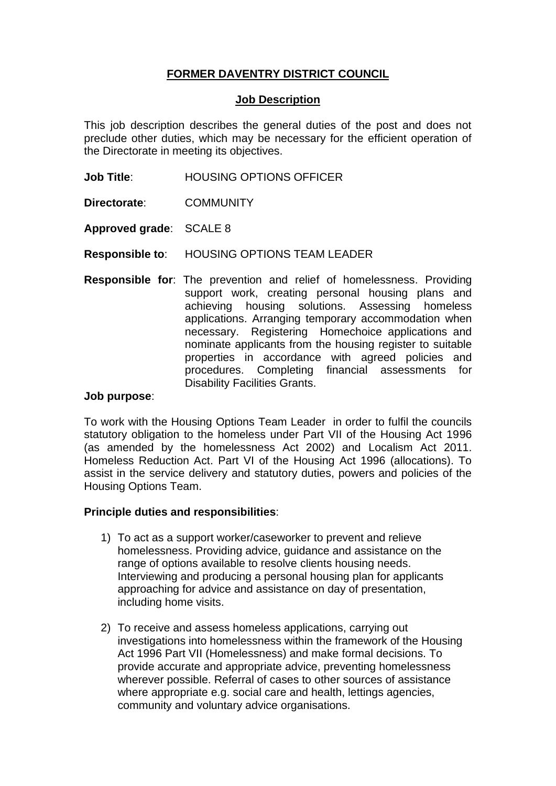# **FORMER DAVENTRY DISTRICT COUNCIL**

### **Job Description**

This job description describes the general duties of the post and does not preclude other duties, which may be necessary for the efficient operation of the Directorate in meeting its objectives.

- **Job Title**: HOUSING OPTIONS OFFICER
- **Directorate**: COMMUNITY

**Approved grade**: SCALE 8

- **Responsible to**: HOUSING OPTIONS TEAM LEADER
- **Responsible for**: The prevention and relief of homelessness. Providing support work, creating personal housing plans and achieving housing solutions. Assessing homeless applications. Arranging temporary accommodation when necessary. Registering Homechoice applications and nominate applicants from the housing register to suitable properties in accordance with agreed policies and procedures. Completing financial assessments for Disability Facilities Grants.

#### **Job purpose**:

To work with the Housing Options Team Leader in order to fulfil the councils statutory obligation to the homeless under Part VII of the Housing Act 1996 (as amended by the homelessness Act 2002) and Localism Act 2011. Homeless Reduction Act. Part VI of the Housing Act 1996 (allocations). To assist in the service delivery and statutory duties, powers and policies of the Housing Options Team.

## **Principle duties and responsibilities**:

- 1) To act as a support worker/caseworker to prevent and relieve homelessness. Providing advice, guidance and assistance on the range of options available to resolve clients housing needs. Interviewing and producing a personal housing plan for applicants approaching for advice and assistance on day of presentation, including home visits.
- 2) To receive and assess homeless applications, carrying out investigations into homelessness within the framework of the Housing Act 1996 Part VII (Homelessness) and make formal decisions. To provide accurate and appropriate advice, preventing homelessness wherever possible. Referral of cases to other sources of assistance where appropriate e.g. social care and health, lettings agencies, community and voluntary advice organisations.